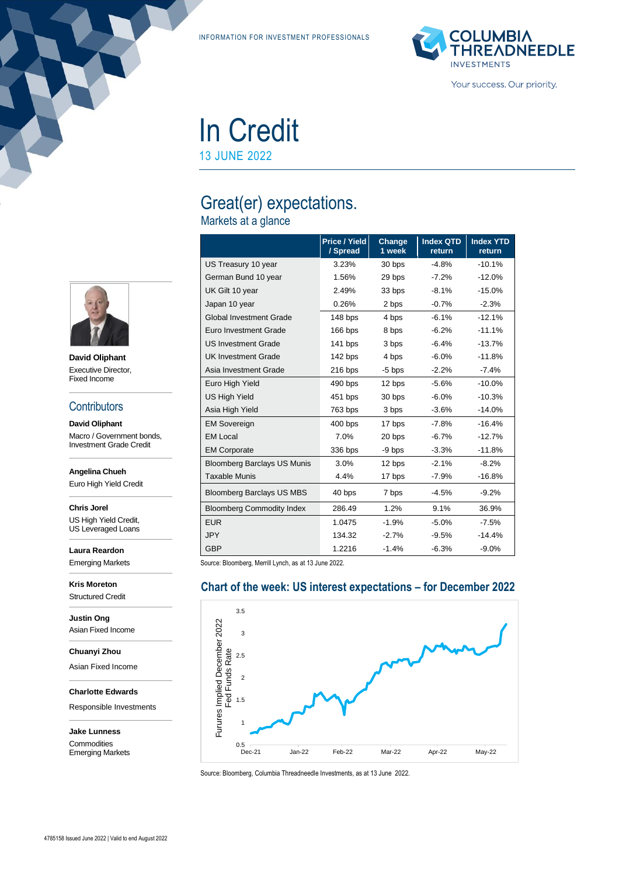INFORMATION FOR INVESTMENT PROFESSIONALS



Your success. Our priority.

## In Credit 13 JUNE 2022

## Great(er) expectations.

Markets at a glance

|                                    | Price / Yield<br>/ Spread | Change<br>1 week | <b>Index QTD</b><br>return | <b>Index YTD</b><br>return |
|------------------------------------|---------------------------|------------------|----------------------------|----------------------------|
| US Treasury 10 year                | 3.23%                     | 30 bps           | $-4.8%$                    | $-10.1%$                   |
| German Bund 10 year                | 1.56%                     | 29 bps           | $-7.2%$                    | $-12.0%$                   |
| UK Gilt 10 year                    | 2.49%                     | 33 bps           | $-8.1%$                    | $-15.0%$                   |
| Japan 10 year                      | 0.26%                     | 2 bps            | $-0.7%$                    | $-2.3%$                    |
| <b>Global Investment Grade</b>     | 148 bps                   | 4 bps            | $-6.1%$                    | $-12.1%$                   |
| Euro Investment Grade              | 166 bps                   | 8 bps            | $-6.2%$                    | $-11.1%$                   |
| <b>US Investment Grade</b>         | $141$ bps                 | 3 bps            | $-6.4%$                    | $-13.7%$                   |
| <b>UK Investment Grade</b>         | 142 bps                   | 4 bps            | $-6.0\%$                   | $-11.8%$                   |
| Asia Investment Grade              | $216$ bps                 | $-5$ bps         | $-2.2%$                    | $-7.4%$                    |
| Euro High Yield                    | 490 bps                   | 12 bps           | $-5.6%$                    | $-10.0%$                   |
| <b>US High Yield</b>               | 451 bps                   | 30 bps           | $-6.0%$                    | $-10.3%$                   |
| Asia High Yield                    | 763 bps                   | 3 bps            | $-3.6%$                    | $-14.0%$                   |
| <b>EM Sovereign</b>                | 400 bps                   | 17 bps           | $-7.8%$                    | $-16.4%$                   |
| <b>EM Local</b>                    | 7.0%                      | 20 bps           | $-6.7%$                    | $-12.7%$                   |
| <b>EM Corporate</b>                | 336 bps                   | -9 bps           | $-3.3%$                    | $-11.8%$                   |
| <b>Bloomberg Barclays US Munis</b> | 3.0%                      | 12 bps           | $-2.1%$                    | $-8.2%$                    |
| <b>Taxable Munis</b>               | 4.4%                      | 17 bps           | $-7.9%$                    | -16.8%                     |
| <b>Bloomberg Barclays US MBS</b>   | 40 bps                    | 7 bps            | $-4.5%$                    | $-9.2%$                    |
| <b>Bloomberg Commodity Index</b>   | 286.49                    | 1.2%             | 9.1%                       | 36.9%                      |
| <b>EUR</b>                         | 1.0475                    | $-1.9%$          | $-5.0%$                    | $-7.5%$                    |
| <b>JPY</b>                         | 134.32                    | $-2.7%$          | -9.5%                      | $-14.4%$                   |
| <b>GBP</b>                         | 1.2216                    | $-1.4%$          | $-6.3%$                    | $-9.0%$                    |

Source: Bloomberg, Merrill Lynch, as at 13 June 2022.

### **Chart of the week: US interest expectations – for December 2022** 3.5 Furures Implied December 2022<br>Fed Funds Rate Furures Implied December 2022 3 Fed Funds Rate 2.5 2 1.5 1 0.5<br>Dec-21 Dec-21 Jan-22 Feb-22 Mar-22 Apr-22 May-22

Source: Bloomberg, Columbia Threadneedle Investments, as at 13 June 2022.



**David Oliphant** Executive Director, Fixed Income

#### **Contributors**

**David Oliphant** Macro / Government bonds, Investment Grade Credit

**Angelina Chueh**

Euro High Yield Credit

**Chris Jorel** US High Yield Credit, US Leveraged Loans

**Laura Reardon** Emerging Markets

**Kris Moreton** Structured Credit

**Justin Ong** Asian Fixed Income

**Chuanyi Zhou**

Asian Fixed Income

**Charlotte Edwards**

Responsible Investments

**Jake Lunness Commodities** Emerging Markets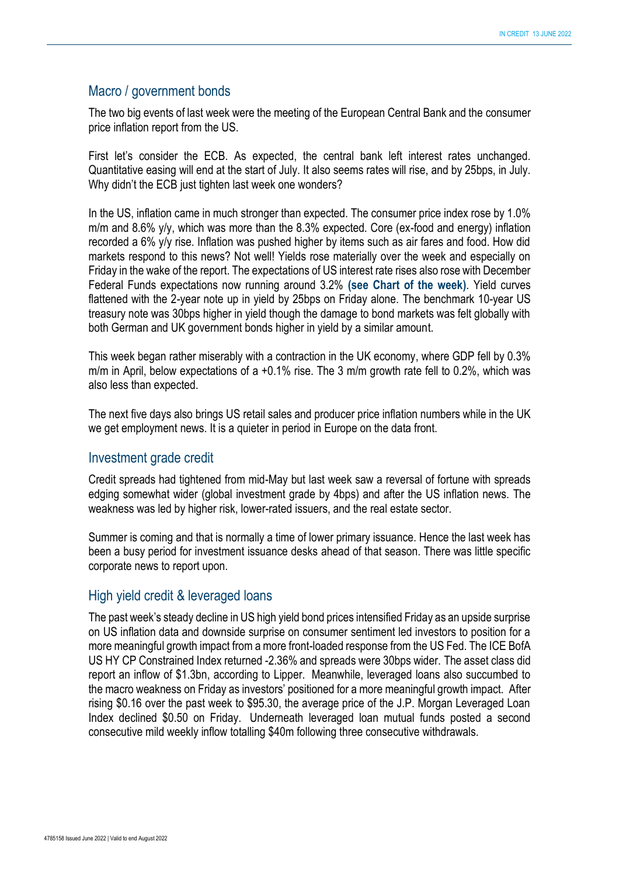#### Macro / government bonds

The two big events of last week were the meeting of the European Central Bank and the consumer price inflation report from the US.

First let's consider the ECB. As expected, the central bank left interest rates unchanged. Quantitative easing will end at the start of July. It also seems rates will rise, and by 25bps, in July. Why didn't the ECB just tighten last week one wonders?

In the US, inflation came in much stronger than expected. The consumer price index rose by 1.0% m/m and 8.6% y/y, which was more than the 8.3% expected. Core (ex-food and energy) inflation recorded a 6% y/y rise. Inflation was pushed higher by items such as air fares and food. How did markets respond to this news? Not well! Yields rose materially over the week and especially on Friday in the wake of the report. The expectations of US interest rate rises also rose with December Federal Funds expectations now running around 3.2% **(see Chart of the week)**. Yield curves flattened with the 2-year note up in yield by 25bps on Friday alone. The benchmark 10-year US treasury note was 30bps higher in yield though the damage to bond markets was felt globally with both German and UK government bonds higher in yield by a similar amount.

This week began rather miserably with a contraction in the UK economy, where GDP fell by 0.3% m/m in April, below expectations of a +0.1% rise. The 3 m/m growth rate fell to 0.2%, which was also less than expected.

The next five days also brings US retail sales and producer price inflation numbers while in the UK we get employment news. It is a quieter in period in Europe on the data front.

#### Investment grade credit

Credit spreads had tightened from mid-May but last week saw a reversal of fortune with spreads edging somewhat wider (global investment grade by 4bps) and after the US inflation news. The weakness was led by higher risk, lower-rated issuers, and the real estate sector.

Summer is coming and that is normally a time of lower primary issuance. Hence the last week has been a busy period for investment issuance desks ahead of that season. There was little specific corporate news to report upon.

#### High yield credit & leveraged loans

The past week's steady decline in US high yield bond prices intensified Friday as an upside surprise on US inflation data and downside surprise on consumer sentiment led investors to position for a more meaningful growth impact from a more front-loaded response from the US Fed. The ICE BofA US HY CP Constrained Index returned -2.36% and spreads were 30bps wider. The asset class did report an inflow of \$1.3bn, according to Lipper. Meanwhile, leveraged loans also succumbed to the macro weakness on Friday as investors' positioned for a more meaningful growth impact. After rising \$0.16 over the past week to \$95.30, the average price of the J.P. Morgan Leveraged Loan Index declined \$0.50 on Friday. Underneath leveraged loan mutual funds posted a second consecutive mild weekly inflow totalling \$40m following three consecutive withdrawals.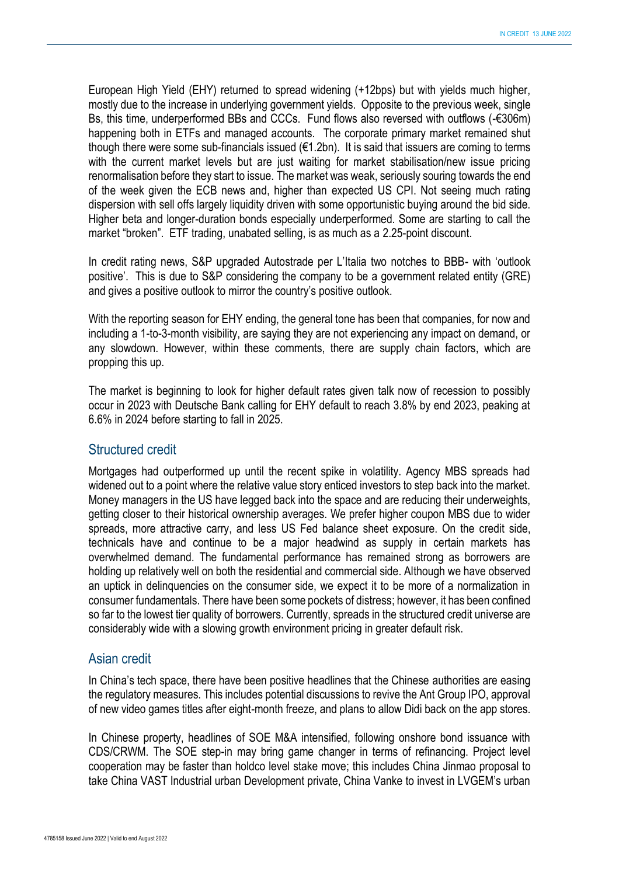European High Yield (EHY) returned to spread widening (+12bps) but with yields much higher, mostly due to the increase in underlying government yields. Opposite to the previous week, single Bs, this time, underperformed BBs and CCCs. Fund flows also reversed with outflows ( $-$ €306m) happening both in ETFs and managed accounts. The corporate primary market remained shut though there were some sub-financials issued ( $61.2$ bn). It is said that issuers are coming to terms with the current market levels but are just waiting for market stabilisation/new issue pricing renormalisation before they start to issue. The market was weak, seriously souring towards the end of the week given the ECB news and, higher than expected US CPI. Not seeing much rating dispersion with sell offs largely liquidity driven with some opportunistic buying around the bid side. Higher beta and longer-duration bonds especially underperformed. Some are starting to call the market "broken". ETF trading, unabated selling, is as much as a 2.25-point discount.

In credit rating news, S&P upgraded Autostrade per L'Italia two notches to BBB- with 'outlook positive'. This is due to S&P considering the company to be a government related entity (GRE) and gives a positive outlook to mirror the country's positive outlook.

With the reporting season for EHY ending, the general tone has been that companies, for now and including a 1-to-3-month visibility, are saying they are not experiencing any impact on demand, or any slowdown. However, within these comments, there are supply chain factors, which are propping this up.

The market is beginning to look for higher default rates given talk now of recession to possibly occur in 2023 with Deutsche Bank calling for EHY default to reach 3.8% by end 2023, peaking at 6.6% in 2024 before starting to fall in 2025.

#### Structured credit

Mortgages had outperformed up until the recent spike in volatility. Agency MBS spreads had widened out to a point where the relative value story enticed investors to step back into the market. Money managers in the US have legged back into the space and are reducing their underweights, getting closer to their historical ownership averages. We prefer higher coupon MBS due to wider spreads, more attractive carry, and less US Fed balance sheet exposure. On the credit side, technicals have and continue to be a major headwind as supply in certain markets has overwhelmed demand. The fundamental performance has remained strong as borrowers are holding up relatively well on both the residential and commercial side. Although we have observed an uptick in delinquencies on the consumer side, we expect it to be more of a normalization in consumer fundamentals. There have been some pockets of distress; however, it has been confined so far to the lowest tier quality of borrowers. Currently, spreads in the structured credit universe are considerably wide with a slowing growth environment pricing in greater default risk.

#### Asian credit

In China's tech space, there have been positive headlines that the Chinese authorities are easing the regulatory measures. This includes potential discussions to revive the Ant Group IPO, approval of new video games titles after eight-month freeze, and plans to allow Didi back on the app stores.

In Chinese property, headlines of SOE M&A intensified, following onshore bond issuance with CDS/CRWM. The SOE step-in may bring game changer in terms of refinancing. Project level cooperation may be faster than holdco level stake move; this includes China Jinmao proposal to take China VAST Industrial urban Development private, China Vanke to invest in LVGEM's urban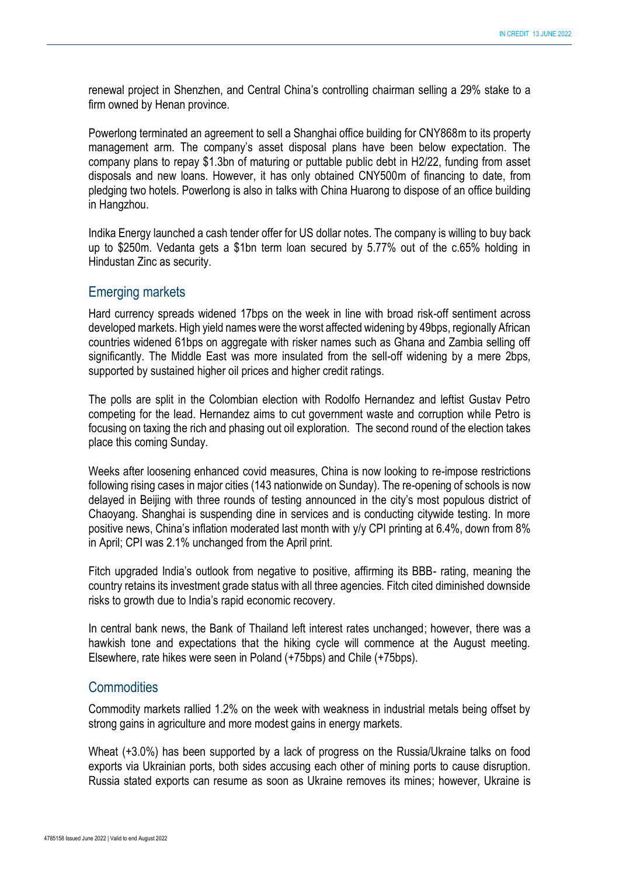renewal project in Shenzhen, and Central China's controlling chairman selling a 29% stake to a firm owned by Henan province.

Powerlong terminated an agreement to sell a Shanghai office building for CNY868m to its property management arm. The company's asset disposal plans have been below expectation. The company plans to repay \$1.3bn of maturing or puttable public debt in H2/22, funding from asset disposals and new loans. However, it has only obtained CNY500m of financing to date, from pledging two hotels. Powerlong is also in talks with China Huarong to dispose of an office building in Hangzhou.

Indika Energy launched a cash tender offer for US dollar notes. The company is willing to buy back up to \$250m. Vedanta gets a \$1bn term loan secured by 5.77% out of the c.65% holding in Hindustan Zinc as security.

#### Emerging markets

Hard currency spreads widened 17bps on the week in line with broad risk-off sentiment across developed markets. High yield names were the worst affected widening by 49bps, regionally African countries widened 61bps on aggregate with risker names such as Ghana and Zambia selling off significantly. The Middle East was more insulated from the sell-off widening by a mere 2bps, supported by sustained higher oil prices and higher credit ratings.

The polls are split in the Colombian election with Rodolfo Hernandez and leftist Gustav Petro competing for the lead. Hernandez aims to cut government waste and corruption while Petro is focusing on taxing the rich and phasing out oil exploration. The second round of the election takes place this coming Sunday.

Weeks after loosening enhanced covid measures, China is now looking to re-impose restrictions following rising cases in major cities (143 nationwide on Sunday). The re-opening of schools is now delayed in Beijing with three rounds of testing announced in the city's most populous district of Chaoyang. Shanghai is suspending dine in services and is conducting citywide testing. In more positive news, China's inflation moderated last month with y/y CPI printing at 6.4%, down from 8% in April; CPI was 2.1% unchanged from the April print.

Fitch upgraded India's outlook from negative to positive, affirming its BBB- rating, meaning the country retains its investment grade status with all three agencies. Fitch cited diminished downside risks to growth due to India's rapid economic recovery.

In central bank news, the Bank of Thailand left interest rates unchanged; however, there was a hawkish tone and expectations that the hiking cycle will commence at the August meeting. Elsewhere, rate hikes were seen in Poland (+75bps) and Chile (+75bps).

### **Commodities**

Commodity markets rallied 1.2% on the week with weakness in industrial metals being offset by strong gains in agriculture and more modest gains in energy markets.

Wheat (+3.0%) has been supported by a lack of progress on the Russia/Ukraine talks on food exports via Ukrainian ports, both sides accusing each other of mining ports to cause disruption. Russia stated exports can resume as soon as Ukraine removes its mines; however, Ukraine is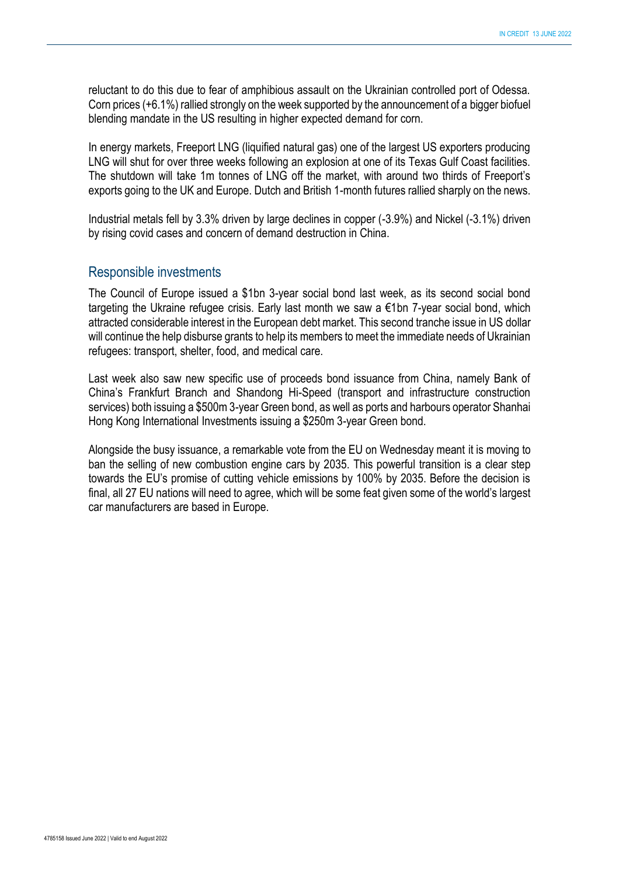reluctant to do this due to fear of amphibious assault on the Ukrainian controlled port of Odessa. Corn prices (+6.1%) rallied strongly on the week supported by the announcement of a bigger biofuel blending mandate in the US resulting in higher expected demand for corn.

In energy markets, Freeport LNG (liquified natural gas) one of the largest US exporters producing LNG will shut for over three weeks following an explosion at one of its Texas Gulf Coast facilities. The shutdown will take 1m tonnes of LNG off the market, with around two thirds of Freeport's exports going to the UK and Europe. Dutch and British 1-month futures rallied sharply on the news.

Industrial metals fell by 3.3% driven by large declines in copper (-3.9%) and Nickel (-3.1%) driven by rising covid cases and concern of demand destruction in China.

#### Responsible investments

The Council of Europe issued a \$1bn 3-year social bond last week, as its second social bond targeting the Ukraine refugee crisis. Early last month we saw a €1bn 7-year social bond, which attracted considerable interest in the European debt market. This second tranche issue in US dollar will continue the help disburse grants to help its members to meet the immediate needs of Ukrainian refugees: transport, shelter, food, and medical care.

Last week also saw new specific use of proceeds bond issuance from China, namely Bank of China's Frankfurt Branch and Shandong Hi-Speed (transport and infrastructure construction services) both issuing a \$500m 3-year Green bond, as well as ports and harbours operator Shanhai Hong Kong International Investments issuing a \$250m 3-year Green bond.

Alongside the busy issuance, a remarkable vote from the EU on Wednesday meant it is moving to ban the selling of new combustion engine cars by 2035. This powerful transition is a clear step towards the EU's promise of cutting vehicle emissions by 100% by 2035. Before the decision is final, all 27 EU nations will need to agree, which will be some feat given some of the world's largest car manufacturers are based in Europe.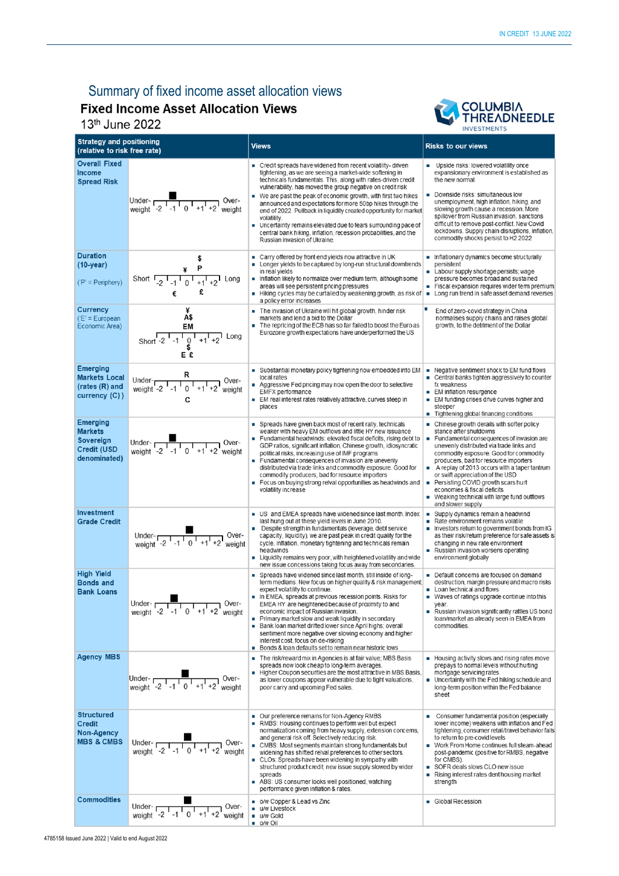# Summary of fixed income asset allocation views<br>Fixed Income Asset Allocation Views

13<sup>th</sup> June 2022



| <b>Strategy and positioning</b><br>(relative to risk free rate)                      |                                                                                                                                                                                                                                                                                                                                                                              | <b>Views</b>                                                                                                                                                                                                                                                                                                                                                                                                                                                                                                                                                                                                                                      | <b>Risks to our views</b>                                                                                                                                                                                                                                                                                                                                                                                                                                                                                       |  |
|--------------------------------------------------------------------------------------|------------------------------------------------------------------------------------------------------------------------------------------------------------------------------------------------------------------------------------------------------------------------------------------------------------------------------------------------------------------------------|---------------------------------------------------------------------------------------------------------------------------------------------------------------------------------------------------------------------------------------------------------------------------------------------------------------------------------------------------------------------------------------------------------------------------------------------------------------------------------------------------------------------------------------------------------------------------------------------------------------------------------------------------|-----------------------------------------------------------------------------------------------------------------------------------------------------------------------------------------------------------------------------------------------------------------------------------------------------------------------------------------------------------------------------------------------------------------------------------------------------------------------------------------------------------------|--|
| <b>Overall Fixed</b><br>Income<br><b>Spread Risk</b>                                 | Under- $\frac{1}{\sqrt{2} \cdot 1 \cdot 1 \cdot 0 \cdot 1 + 1 \cdot 2}$ Over-                                                                                                                                                                                                                                                                                                | • Credit spreads have widened from recent volatility-driven<br>tightening, as we are seeing a market-wide softening in<br>technicals fundamentals. This, along with rates-driven credit<br>vulnerability, has moved the group negative on credit risk<br>■ We are past the peak of economic growth, with first two hikes<br>announced and expectations for more 50bp hikes through the<br>end of 2022. Pullback in liquidity created opportunity for market<br>volatility.<br>■ Uncertainty remains elevated due to fears surrounding pace of<br>central bank hiking, inflation, recession probabilities, and the<br>Russian invasion of Ukraine. | Upside risks: lowered volatility once<br>expansionary environment is established as<br>the new normal<br>Downside risks: simultaneous low<br>unemployment, high inflation, hiking, and<br>slowing growth cause a recession. More<br>spillover from Russian invasion, sanctions<br>difficult to remove post-conflict. New Covid<br>lockdowns. Supply chain disruptions, inflation,<br>commodity shocks persist to H2 2022                                                                                        |  |
| <b>Duration</b><br>$(10-year)$<br>$(P' = Periphery)$                                 | Short $\frac{4}{2}$ $\frac{P}{1 - 1}$ $\frac{P}{0}$ $\frac{P}{1 + 1}$ Long<br>£<br>€                                                                                                                                                                                                                                                                                         | ■ Carry offered by front end yields now attractive in UK<br>• Longer yields to be captured by long-run structural downtrends<br>in real yields<br>Inflation likely to normalize over medium term, although some<br>areas will see persistent pricing pressures<br>Hiking cycles may be curtailed by weakening growth, as risk of<br>a policy error increases                                                                                                                                                                                                                                                                                      | Inflationary dynamics become structurally<br>persistent<br>Labour supply shortage persists; wage<br>pressure becomes broad and sustained<br>Fiscal expansion requires wider term premium<br>٠<br>Long run trend in safe asset demand reverses                                                                                                                                                                                                                                                                   |  |
| <b>Currency</b><br>$(E' = European$<br>Economic Area)                                | Å\$<br>EM<br>Short $-2$ $-1$ $0$ $1$ $+1$ $+2$ Long<br>Ε£                                                                                                                                                                                                                                                                                                                    | The invasion of Ukraine will hit global growth, hinder risk<br>markets and lend a bid to the Dollar<br>The repricing of the ECB has so far failed to boost the Euro as<br>Eurozone growth expectations have underperformed the US                                                                                                                                                                                                                                                                                                                                                                                                                 | End of zero-covid strategy in China<br>normalises supply chains and raises global<br>growth, to the detriment of the Dollar                                                                                                                                                                                                                                                                                                                                                                                     |  |
| <b>Emerging</b><br><b>Markets Local</b><br>(rates (R) and<br>currency (C))           | Under- $R$<br>weight -2 $1 - 1 - 1 - 1 + 1 + 2$ weight                                                                                                                                                                                                                                                                                                                       | Substantial monetary policy tightening now embedded into EM<br>local rates<br>Aggressive Fed pricing may now open the door to selective<br><b>EMFX</b> performance<br>EM real interest rates relatively attractive, curves steep in<br>places                                                                                                                                                                                                                                                                                                                                                                                                     | ■ Negative sentiment shock to EM fund flows<br>$\blacksquare$ Central banks tighten aggressively to counter<br>fx weakness<br>■ EM inflation resurgence<br>EM funding crises drive curves higher and<br>$\blacksquare$<br>steeper<br>Tightening global financing conditions                                                                                                                                                                                                                                     |  |
| <b>Emerging</b><br><b>Markets</b><br>Sovereign<br><b>Credit (USD</b><br>denominated) | Under- $\sqrt{\frac{1}{1-1}}$ Over-<br>weight -2 -1 0 +1 +2 weight                                                                                                                                                                                                                                                                                                           | Spreads have given back most of recent rally, technicals<br>weaker with heavy EM outflows and little HY new issuance<br>Fundamental headwinds: elevated fiscal deficits, rising debt to<br>GDP ratios, significant inflation, Chinese growth, idiosyncratic<br>political risks, increasing use of IMF programs<br>■ Fundamental consequences of invasion are unevenly<br>distributed via trade links and commodity exposure. Good for<br>commodity producers, bad for resource importers<br>Focus on buying strong relval opportunities as headwinds and<br>volatility increase                                                                   | $\blacksquare$ Chinese growth derails with softer policy<br>stance after shutdowns<br>■ Fundamental consequences of invasion are<br>unevenly distributed via trade links and<br>commodity exposure. Good for commodity<br>producers, bad for resource importers<br>A replay of 2013 occurs with a taper tantrum<br>$\blacksquare$<br>or swift appreciation of the USD<br>Persisting COVID growth scars hurt<br>economies & fiscal deficits<br>■ Weaking technical with large fund outflows<br>and slower supply |  |
| Investment<br><b>Grade Credit</b>                                                    | Under- $\sqrt{21-10}$ Over-<br>weight -2 <sup>1</sup> -1 <sup>1</sup> 0 <sup>1</sup> +1 <sup>1</sup> +2 <sup>1</sup> weight                                                                                                                                                                                                                                                  | US and EMEA spreads have widened since last month. Index<br>last hung out at these yield levels in June 2010.<br>Despite strength in fundamentals (leverage, debt service<br>capacity, liquidity), we are past peak in credit quality for the<br>cycle. Inflation, monetary tightening and technicals remain<br>headwinds<br>Liquidity remains very poor, with heightened volatility and wide<br>new issue concessions taking focus away from secondaries.                                                                                                                                                                                        | Supply dynamics remain a headwind<br>$\mathcal{L}_{\mathcal{A}}$<br>Rate environment remains volatile<br>Investors return to government bonds from IG<br>as their risk/retum preference for safe assets is<br>changing in new rate environment<br>Russian invasion worsens operating<br>environment globally                                                                                                                                                                                                    |  |
| <b>High Yield</b><br><b>Bonds and</b><br><b>Bank Loans</b>                           | Under- $\overline{$ $\overline{1}$ $\overline{1}$ $\overline{1}$ $\overline{1}$ $\overline{1}$ $\overline{1}$ $\overline{1}$ $\overline{1}$ $\overline{1}$ $\overline{1}$ $\overline{1}$ $\overline{1}$ $\overline{1}$ $\overline{1}$ $\overline{1}$ $\overline{1}$ $\overline{1}$ $\overline{1}$ $\overline{1}$ $\overline{1}$ $\overline{1}$ $\overline{1}$ $\overline{1}$ | ■ Spreads have widened since last month, still inside of long-<br>term medians. New focus on higher quality & risk management<br>expect volatility to continue.<br>In EMEA, spreads at previous recession points. Risks for<br>EMEA HY are heightened because of proximity to and<br>economic impact of Russian invasion.<br>Primary market slow and weak liquidity in secondary<br>Bank loan market drifted lower since April highs; overall<br>sentiment more negative over slowing economy and higher<br>interest cost, focus on de-risking<br>■ Bonds & Ioan defaults set to remain near historic lows                                        | Default concerns are focused on demand<br>destruction, margin pressure and macro risks<br>Loan technical and flows<br>• Waves of ratings upgrade continue into this<br>year.<br>Russian invasion significantly rattles US bond<br>$\blacksquare$<br>loan/market as already seen in EMEA from<br>commodities.                                                                                                                                                                                                    |  |
| <b>Agency MBS</b>                                                                    | Under- $\frac{1}{\sqrt{2} \cdot 1 - 1}$ 0 <sup>1</sup> +1 <sup>1</sup> +2 <sup>1</sup> weight                                                                                                                                                                                                                                                                                | The risk/reward mix in Agencies is at fair value; MBS Basis<br>spreads now look cheap to long-term averages.<br>Higher Coupon securities are the most attractive in MBS Basis,<br>as lower coupons appear vulnerable due to tight valuations,<br>poor carry and upcoming Fed sales.                                                                                                                                                                                                                                                                                                                                                               | ■ Housing activity slows and rising rates move<br>prepays to normal levels without hurting<br>mortgage servicing rates.<br>Uncertainty with the Fed hiking schedule and<br>long-term position within the Fed balance<br>sheet                                                                                                                                                                                                                                                                                   |  |
| <b>Structured</b><br><b>Credit</b><br><b>Non-Agency</b><br><b>MBS &amp; CMBS</b>     | Under- $\frac{1}{\sqrt{1-1} + 1}$ Over-<br>weight $-2$ -1 0 +1 +2 weight                                                                                                                                                                                                                                                                                                     | ■ Our preference remains for Non-Agency RMBS<br>RMBS: Housing continues to perform well but expect<br>normalization coming from heavy supply, extension concems,<br>and general risk off. Selectively reducing risk.<br>■ CMBS: Most segments maintain strong fundamentals but<br>widening has shifted relval preferences to other sectors.<br>■ CLOs: Spreads have been widening in sympathy with<br>structured product credit, new issue supply slowed by wider<br>spreads<br>ABS: US consumer looks well positioned, watching<br>performance given inflation & rates.                                                                          | Consumer fundamental position (especially<br>lower income) weakens with inflation and Fed<br>tightening, consumer retail/travel behavior fails<br>to return to pre-covid levels<br>■ Work From Home continues full steam-ahead<br>post-pandemic (positive for RMBS, negative<br>for CMBS).<br>SOFR deals slows CLO new issue<br>$\blacksquare$ Rising interest rates dent housing market<br>strength                                                                                                            |  |
| <b>Commodities</b>                                                                   | Under- $\sqrt{21-10} + 1+2$ Over-<br>weight -2 -1 0 +1 +2 weight                                                                                                                                                                                                                                                                                                             | ■ o/w Copper & Lead vs Zinc<br>u/w Livestock<br>$\blacksquare$ u/w Gold<br>$\blacksquare$ o/w Oil                                                                                                                                                                                                                                                                                                                                                                                                                                                                                                                                                 | Global Recession                                                                                                                                                                                                                                                                                                                                                                                                                                                                                                |  |